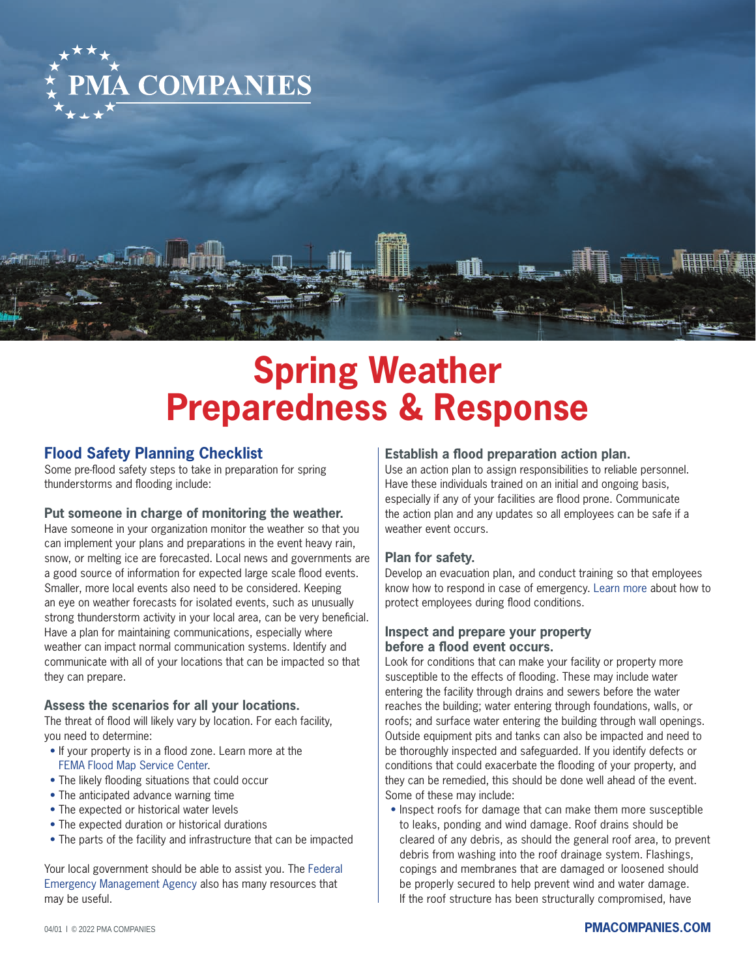

# **Spring Weather Preparedness & Response**

# **Flood Safety Planning Checklist**

Some pre-flood safety steps to take in preparation for spring thunderstorms and flooding include:

#### **Put someone in charge of monitoring the weather.**

Have someone in your organization monitor the weather so that you can implement your plans and preparations in the event heavy rain, snow, or melting ice are forecasted. Local news and governments are a good source of information for expected large scale flood events. Smaller, more local events also need to be considered. Keeping an eye on weather forecasts for isolated events, such as unusually strong thunderstorm activity in your local area, can be very beneficial. Have a plan for maintaining communications, especially where weather can impact normal communication systems. Identify and communicate with all of your locations that can be impacted so that they can prepare.

#### **Assess the scenarios for all your locations.**

The threat of flood will likely vary by location. For each facility, you need to determine:

- If your property is in a flood zone. Learn more at the [FEMA Flood Map Service Center.](https://msc.fema.gov/portal/home)
- $\bullet$  The likely flooding situations that could occur
- The anticipated advance warning time
- The expected or historical water levels
- The expected duration or historical durations
- The parts of the facility and infrastructure that can be impacted

[Your local government should be able to assist you. The Federal](https://www.fema.gov)  Emergency Management Agency also has many resources that may be useful.

#### **Establish a flood preparation action plan.**

Use an action plan to assign responsibilities to reliable personnel. Have these individuals trained on an initial and ongoing basis, especially if any of your facilities are flood prone. Communicate the action plan and any updates so all employees can be safe if a weather event occurs.

#### **Plan for safety.**

Develop an evacuation plan, and conduct training so that employees know how to respond in case of emergency. [Learn more](https://www.osha.gov/flood) about how to protect employees during flood conditions.

### **Inspect and prepare your property before a flood event occurs.**

Look for conditions that can make your facility or property more susceptible to the effects of flooding. These may include water entering the facility through drains and sewers before the water reaches the building; water entering through foundations, walls, or roofs; and surface water entering the building through wall openings. Outside equipment pits and tanks can also be impacted and need to be thoroughly inspected and safeguarded. If you identify defects or conditions that could exacerbate the flooding of your property, and they can be remedied, this should be done well ahead of the event. Some of these may include:

• Inspect roofs for damage that can make them more susceptible to leaks, ponding and wind damage. Roof drains should be cleared of any debris, as should the general roof area, to prevent debris from washing into the roof drainage system. Flashings, copings and membranes that are damaged or loosened should be properly secured to help prevent wind and water damage. If the roof structure has been structurally compromised, have